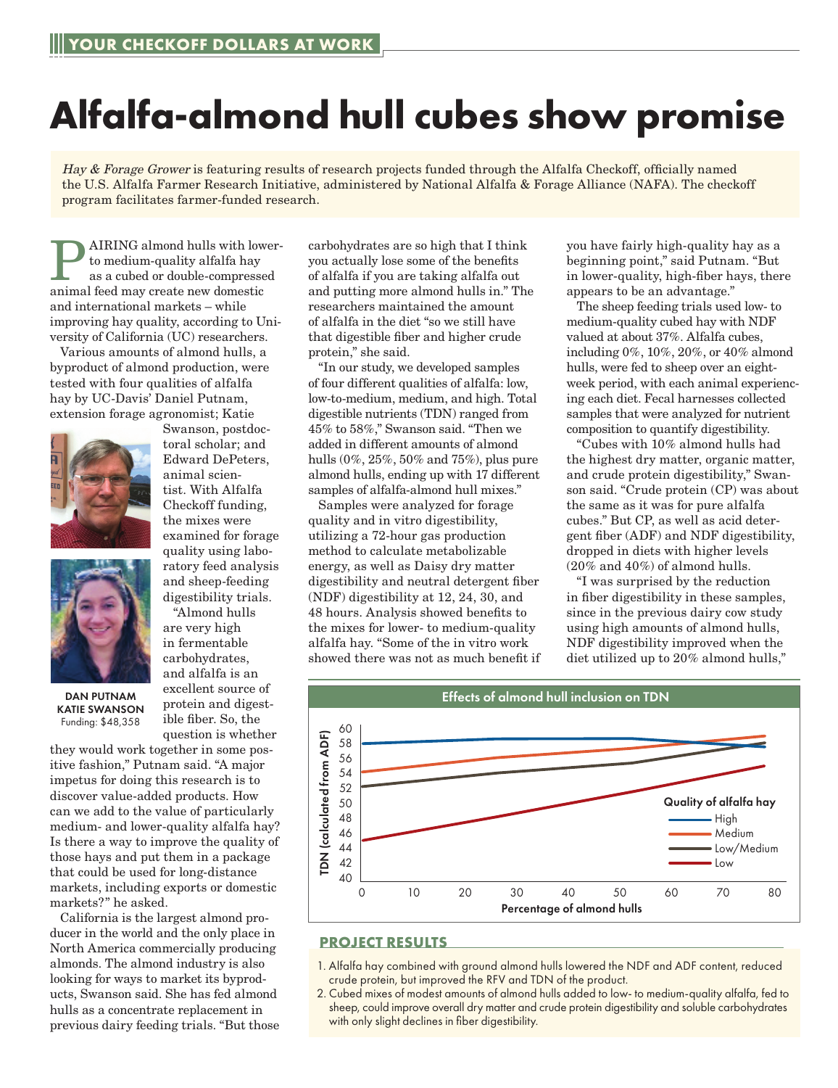## **Alfalfa-almond hull cubes show promise**

Hay & Forage Grower is featuring results of research projects funded through the Alfalfa Checkoff, officially named the U.S. Alfalfa Farmer Research Initiative, administered by National Alfalfa & Forage Alliance (NAFA). The checkoff program facilitates farmer-funded research.

AIRING almond hulls with lowerto medium-quality alfalfa hay as a cubed or double-compressed animal feed may create new domestic and international markets – while improving hay quality, according to University of California (UC) researchers.

Various amounts of almond hulls, a byproduct of almond production, were tested with four qualities of alfalfa hay by UC-Davis' Daniel Putnam, extension forage agronomist; Katie

> Swanson, postdoctoral scholar; and Edward DePeters, animal scientist. With Alfalfa Checkoff funding, the mixes were examined for forage quality using laboratory feed analysis and sheep-feeding digestibility trials. "Almond hulls are very high in fermentable carbohydrates, and alfalfa is an excellent source of protein and digestible fiber. So, the





DAN PUTNAM KATIE SWANSON Funding: \$48,358

question is whether they would work together in some positive fashion," Putnam said. "A major impetus for doing this research is to discover value-added products. How can we add to the value of particularly medium- and lower-quality alfalfa hay? Is there a way to improve the quality of those hays and put them in a package that could be used for long-distance markets, including exports or domestic markets?" he asked.

California is the largest almond producer in the world and the only place in North America commercially producing almonds. The almond industry is also looking for ways to market its byproducts, Swanson said. She has fed almond hulls as a concentrate replacement in previous dairy feeding trials. "But those carbohydrates are so high that I think you actually lose some of the benefits of alfalfa if you are taking alfalfa out and putting more almond hulls in." The researchers maintained the amount of alfalfa in the diet "so we still have that digestible fiber and higher crude protein," she said.

"In our study, we developed samples of four different qualities of alfalfa: low, low-to-medium, medium, and high. Total digestible nutrients (TDN) ranged from 45% to 58%," Swanson said. "Then we added in different amounts of almond hulls (0%, 25%, 50% and 75%), plus pure almond hulls, ending up with 17 different samples of alfalfa-almond hull mixes."

Samples were analyzed for forage quality and in vitro digestibility, utilizing a 72-hour gas production method to calculate metabolizable energy, as well as Daisy dry matter digestibility and neutral detergent fiber (NDF) digestibility at 12, 24, 30, and 48 hours. Analysis showed benefits to the mixes for lower- to medium-quality alfalfa hay. "Some of the in vitro work showed there was not as much benefit if you have fairly high-quality hay as a beginning point," said Putnam. "But in lower-quality, high-fiber hays, there appears to be an advantage."

The sheep feeding trials used low- to medium-quality cubed hay with NDF valued at about 37%. Alfalfa cubes, including 0%, 10%, 20%, or 40% almond hulls, were fed to sheep over an eightweek period, with each animal experiencing each diet. Fecal harnesses collected samples that were analyzed for nutrient composition to quantify digestibility.

"Cubes with 10% almond hulls had the highest dry matter, organic matter, and crude protein digestibility," Swanson said. "Crude protein (CP) was about the same as it was for pure alfalfa cubes." But CP, as well as acid detergent fiber (ADF) and NDF digestibility, dropped in diets with higher levels (20% and 40%) of almond hulls.

"I was surprised by the reduction in fiber digestibility in these samples, since in the previous dairy cow study using high amounts of almond hulls, NDF digestibility improved when the diet utilized up to 20% almond hulls,"



## **PROJECT RESULTS**

- 1. Alfalfa hay combined with ground almond hulls lowered the NDF and ADF content, reduced crude protein, but improved the RFV and TDN of the product.
- 2. Cubed mixes of modest amounts of almond hulls added to low- to medium-quality alfalfa, fed to sheep, could improve overall dry matter and crude protein digestibility and soluble carbohydrates with only slight declines in fiber digestibility.